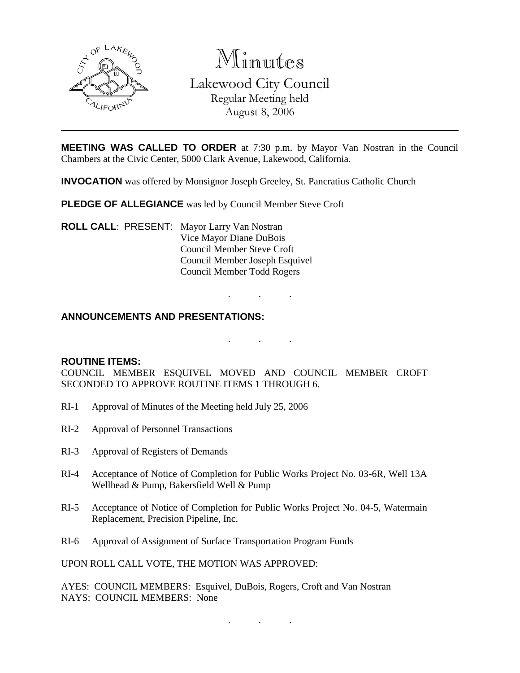

Minutes Lakewood City Council Regular Meeting held August 8, 2006

**MEETING WAS CALLED TO ORDER** at 7:30 p.m. by Mayor Van Nostran in the Council Chambers at the Civic Center, 5000 Clark Avenue, Lakewood, California.

**INVOCATION** was offered by Monsignor Joseph Greeley, St. Pancratius Catholic Church

**PLEDGE OF ALLEGIANCE** was led by Council Member Steve Croft

**ROLL CALL**: PRESENT: Mayor Larry Van Nostran Vice Mayor Diane DuBois Council Member Steve Croft Council Member Joseph Esquivel Council Member Todd Rogers

## **ANNOUNCEMENTS AND PRESENTATIONS:**

. . .

. . .

### **ROUTINE ITEMS:**

COUNCIL MEMBER ESQUIVEL MOVED AND COUNCIL MEMBER CROFT SECONDED TO APPROVE ROUTINE ITEMS 1 THROUGH 6.

- RI-1 Approval of Minutes of the Meeting held July 25, 2006
- RI-2 Approval of Personnel Transactions
- RI-3 Approval of Registers of Demands
- RI-4 Acceptance of Notice of Completion for Public Works Project No. 03-6R, Well 13A Wellhead & Pump, Bakersfield Well & Pump
- RI-5 Acceptance of Notice of Completion for Public Works Project No. 04-5, Watermain Replacement, Precision Pipeline, Inc.
- RI-6 Approval of Assignment of Surface Transportation Program Funds

UPON ROLL CALL VOTE, THE MOTION WAS APPROVED:

AYES: COUNCIL MEMBERS: Esquivel, DuBois, Rogers, Croft and Van Nostran NAYS: COUNCIL MEMBERS: None

. . .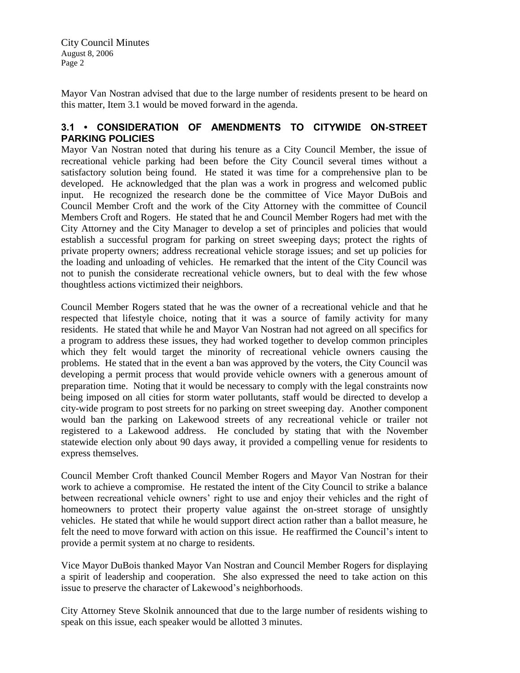Mayor Van Nostran advised that due to the large number of residents present to be heard on this matter, Item 3.1 would be moved forward in the agenda.

## **3.1 • CONSIDERATION OF AMENDMENTS TO CITYWIDE ON-STREET PARKING POLICIES**

Mayor Van Nostran noted that during his tenure as a City Council Member, the issue of recreational vehicle parking had been before the City Council several times without a satisfactory solution being found. He stated it was time for a comprehensive plan to be developed. He acknowledged that the plan was a work in progress and welcomed public input. He recognized the research done be the committee of Vice Mayor DuBois and Council Member Croft and the work of the City Attorney with the committee of Council Members Croft and Rogers. He stated that he and Council Member Rogers had met with the City Attorney and the City Manager to develop a set of principles and policies that would establish a successful program for parking on street sweeping days; protect the rights of private property owners; address recreational vehicle storage issues; and set up policies for the loading and unloading of vehicles. He remarked that the intent of the City Council was not to punish the considerate recreational vehicle owners, but to deal with the few whose thoughtless actions victimized their neighbors.

Council Member Rogers stated that he was the owner of a recreational vehicle and that he respected that lifestyle choice, noting that it was a source of family activity for many residents. He stated that while he and Mayor Van Nostran had not agreed on all specifics for a program to address these issues, they had worked together to develop common principles which they felt would target the minority of recreational vehicle owners causing the problems. He stated that in the event a ban was approved by the voters, the City Council was developing a permit process that would provide vehicle owners with a generous amount of preparation time. Noting that it would be necessary to comply with the legal constraints now being imposed on all cities for storm water pollutants, staff would be directed to develop a city-wide program to post streets for no parking on street sweeping day. Another component would ban the parking on Lakewood streets of any recreational vehicle or trailer not registered to a Lakewood address. He concluded by stating that with the November statewide election only about 90 days away, it provided a compelling venue for residents to express themselves.

Council Member Croft thanked Council Member Rogers and Mayor Van Nostran for their work to achieve a compromise. He restated the intent of the City Council to strike a balance between recreational vehicle owners' right to use and enjoy their vehicles and the right of homeowners to protect their property value against the on-street storage of unsightly vehicles. He stated that while he would support direct action rather than a ballot measure, he felt the need to move forward with action on this issue. He reaffirmed the Council's intent to provide a permit system at no charge to residents.

Vice Mayor DuBois thanked Mayor Van Nostran and Council Member Rogers for displaying a spirit of leadership and cooperation. She also expressed the need to take action on this issue to preserve the character of Lakewood's neighborhoods.

City Attorney Steve Skolnik announced that due to the large number of residents wishing to speak on this issue, each speaker would be allotted 3 minutes.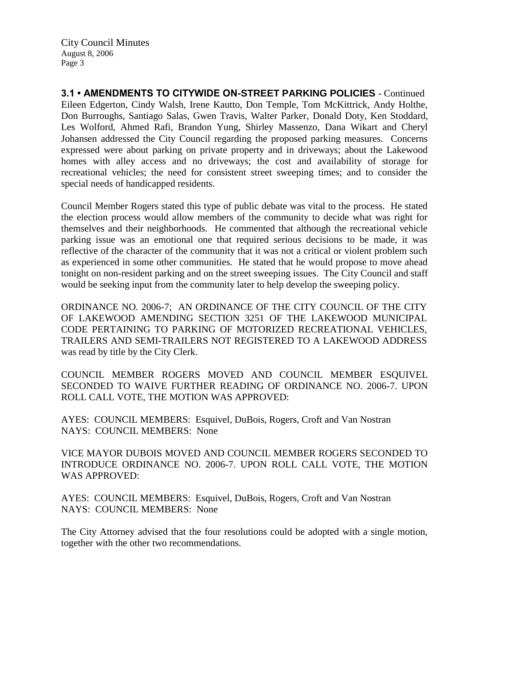**3.1 • AMENDMENTS TO CITYWIDE ON-STREET PARKING POLICIES** - Continued Eileen Edgerton, Cindy Walsh, Irene Kautto, Don Temple, Tom McKittrick, Andy Holthe, Don Burroughs, Santiago Salas, Gwen Travis, Walter Parker, Donald Doty, Ken Stoddard, Les Wolford, Ahmed Rafi, Brandon Yung, Shirley Massenzo, Dana Wikart and Cheryl Johansen addressed the City Council regarding the proposed parking measures. Concerns expressed were about parking on private property and in driveways; about the Lakewood homes with alley access and no driveways; the cost and availability of storage for recreational vehicles; the need for consistent street sweeping times; and to consider the special needs of handicapped residents.

Council Member Rogers stated this type of public debate was vital to the process. He stated the election process would allow members of the community to decide what was right for themselves and their neighborhoods. He commented that although the recreational vehicle parking issue was an emotional one that required serious decisions to be made, it was reflective of the character of the community that it was not a critical or violent problem such as experienced in some other communities. He stated that he would propose to move ahead tonight on non-resident parking and on the street sweeping issues. The City Council and staff would be seeking input from the community later to help develop the sweeping policy.

ORDINANCE NO. 2006-7; AN ORDINANCE OF THE CITY COUNCIL OF THE CITY OF LAKEWOOD AMENDING SECTION 3251 OF THE LAKEWOOD MUNICIPAL CODE PERTAINING TO PARKING OF MOTORIZED RECREATIONAL VEHICLES, TRAILERS AND SEMI-TRAILERS NOT REGISTERED TO A LAKEWOOD ADDRESS was read by title by the City Clerk.

COUNCIL MEMBER ROGERS MOVED AND COUNCIL MEMBER ESQUIVEL SECONDED TO WAIVE FURTHER READING OF ORDINANCE NO. 2006-7. UPON ROLL CALL VOTE, THE MOTION WAS APPROVED:

AYES: COUNCIL MEMBERS: Esquivel, DuBois, Rogers, Croft and Van Nostran NAYS: COUNCIL MEMBERS: None

VICE MAYOR DUBOIS MOVED AND COUNCIL MEMBER ROGERS SECONDED TO INTRODUCE ORDINANCE NO. 2006-7. UPON ROLL CALL VOTE, THE MOTION WAS APPROVED:

AYES: COUNCIL MEMBERS: Esquivel, DuBois, Rogers, Croft and Van Nostran NAYS: COUNCIL MEMBERS: None

The City Attorney advised that the four resolutions could be adopted with a single motion, together with the other two recommendations.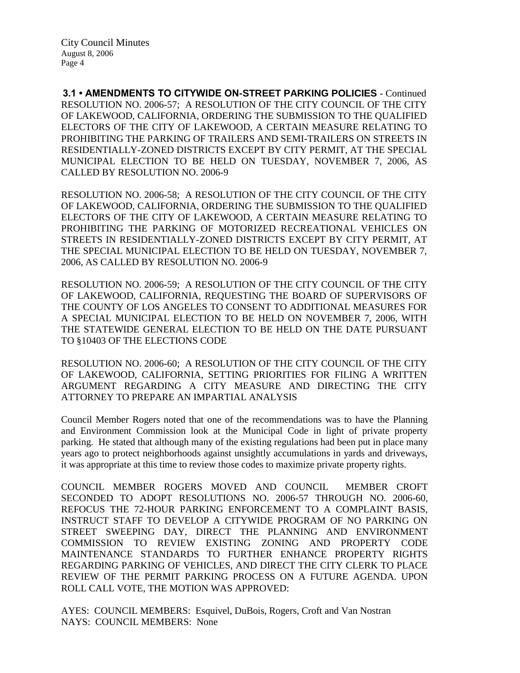**3.1 • AMENDMENTS TO CITYWIDE ON-STREET PARKING POLICIES** - Continued RESOLUTION NO. 2006-57; A RESOLUTION OF THE CITY COUNCIL OF THE CITY OF LAKEWOOD, CALIFORNIA, ORDERING THE SUBMISSION TO THE QUALIFIED ELECTORS OF THE CITY OF LAKEWOOD, A CERTAIN MEASURE RELATING TO PROHIBITING THE PARKING OF TRAILERS AND SEMI-TRAILERS ON STREETS IN RESIDENTIALLY-ZONED DISTRICTS EXCEPT BY CITY PERMIT, AT THE SPECIAL MUNICIPAL ELECTION TO BE HELD ON TUESDAY, NOVEMBER 7, 2006, AS CALLED BY RESOLUTION NO. 2006-9

RESOLUTION NO. 2006-58; A RESOLUTION OF THE CITY COUNCIL OF THE CITY OF LAKEWOOD, CALIFORNIA, ORDERING THE SUBMISSION TO THE QUALIFIED ELECTORS OF THE CITY OF LAKEWOOD, A CERTAIN MEASURE RELATING TO PROHIBITING THE PARKING OF MOTORIZED RECREATIONAL VEHICLES ON STREETS IN RESIDENTIALLY-ZONED DISTRICTS EXCEPT BY CITY PERMIT, AT THE SPECIAL MUNICIPAL ELECTION TO BE HELD ON TUESDAY, NOVEMBER 7, 2006, AS CALLED BY RESOLUTION NO. 2006-9

RESOLUTION NO. 2006-59; A RESOLUTION OF THE CITY COUNCIL OF THE CITY OF LAKEWOOD, CALIFORNIA, REQUESTING THE BOARD OF SUPERVISORS OF THE COUNTY OF LOS ANGELES TO CONSENT TO ADDITIONAL MEASURES FOR A SPECIAL MUNICIPAL ELECTION TO BE HELD ON NOVEMBER 7, 2006, WITH THE STATEWIDE GENERAL ELECTION TO BE HELD ON THE DATE PURSUANT TO §10403 OF THE ELECTIONS CODE

RESOLUTION NO. 2006-60; A RESOLUTION OF THE CITY COUNCIL OF THE CITY OF LAKEWOOD, CALIFORNIA, SETTING PRIORITIES FOR FILING A WRITTEN ARGUMENT REGARDING A CITY MEASURE AND DIRECTING THE CITY ATTORNEY TO PREPARE AN IMPARTIAL ANALYSIS

Council Member Rogers noted that one of the recommendations was to have the Planning and Environment Commission look at the Municipal Code in light of private property parking. He stated that although many of the existing regulations had been put in place many years ago to protect neighborhoods against unsightly accumulations in yards and driveways, it was appropriate at this time to review those codes to maximize private property rights.

COUNCIL MEMBER ROGERS MOVED AND COUNCIL MEMBER CROFT SECONDED TO ADOPT RESOLUTIONS NO. 2006-57 THROUGH NO. 2006-60, REFOCUS THE 72-HOUR PARKING ENFORCEMENT TO A COMPLAINT BASIS, INSTRUCT STAFF TO DEVELOP A CITYWIDE PROGRAM OF NO PARKING ON STREET SWEEPING DAY, DIRECT THE PLANNING AND ENVIRONMENT COMMISSION TO REVIEW EXISTING ZONING AND PROPERTY CODE MAINTENANCE STANDARDS TO FURTHER ENHANCE PROPERTY RIGHTS REGARDING PARKING OF VEHICLES, AND DIRECT THE CITY CLERK TO PLACE REVIEW OF THE PERMIT PARKING PROCESS ON A FUTURE AGENDA. UPON ROLL CALL VOTE, THE MOTION WAS APPROVED:

AYES: COUNCIL MEMBERS: Esquivel, DuBois, Rogers, Croft and Van Nostran NAYS: COUNCIL MEMBERS: None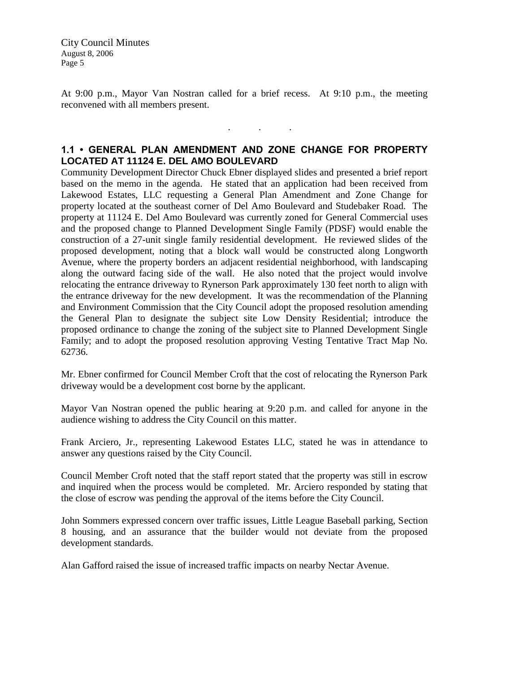At 9:00 p.m., Mayor Van Nostran called for a brief recess. At 9:10 p.m., the meeting reconvened with all members present.

# **1.1 • GENERAL PLAN AMENDMENT AND ZONE CHANGE FOR PROPERTY LOCATED AT 11124 E. DEL AMO BOULEVARD**

. . .

Community Development Director Chuck Ebner displayed slides and presented a brief report based on the memo in the agenda. He stated that an application had been received from Lakewood Estates, LLC requesting a General Plan Amendment and Zone Change for property located at the southeast corner of Del Amo Boulevard and Studebaker Road. The property at 11124 E. Del Amo Boulevard was currently zoned for General Commercial uses and the proposed change to Planned Development Single Family (PDSF) would enable the construction of a 27-unit single family residential development. He reviewed slides of the proposed development, noting that a block wall would be constructed along Longworth Avenue, where the property borders an adjacent residential neighborhood, with landscaping along the outward facing side of the wall. He also noted that the project would involve relocating the entrance driveway to Rynerson Park approximately 130 feet north to align with the entrance driveway for the new development. It was the recommendation of the Planning and Environment Commission that the City Council adopt the proposed resolution amending the General Plan to designate the subject site Low Density Residential; introduce the proposed ordinance to change the zoning of the subject site to Planned Development Single Family; and to adopt the proposed resolution approving Vesting Tentative Tract Map No. 62736.

Mr. Ebner confirmed for Council Member Croft that the cost of relocating the Rynerson Park driveway would be a development cost borne by the applicant.

Mayor Van Nostran opened the public hearing at 9:20 p.m. and called for anyone in the audience wishing to address the City Council on this matter.

Frank Arciero, Jr., representing Lakewood Estates LLC, stated he was in attendance to answer any questions raised by the City Council.

Council Member Croft noted that the staff report stated that the property was still in escrow and inquired when the process would be completed. Mr. Arciero responded by stating that the close of escrow was pending the approval of the items before the City Council.

John Sommers expressed concern over traffic issues, Little League Baseball parking, Section 8 housing, and an assurance that the builder would not deviate from the proposed development standards.

Alan Gafford raised the issue of increased traffic impacts on nearby Nectar Avenue.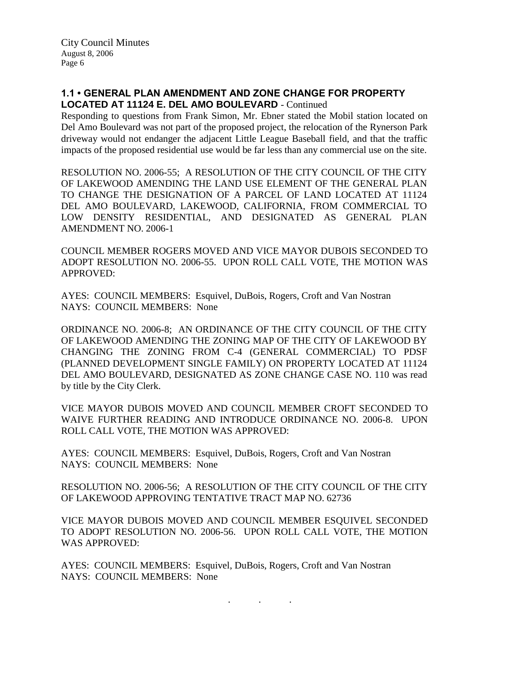## **1.1 • GENERAL PLAN AMENDMENT AND ZONE CHANGE FOR PROPERTY LOCATED AT 11124 E. DEL AMO BOULEVARD** - Continued

Responding to questions from Frank Simon, Mr. Ebner stated the Mobil station located on Del Amo Boulevard was not part of the proposed project, the relocation of the Rynerson Park driveway would not endanger the adjacent Little League Baseball field, and that the traffic impacts of the proposed residential use would be far less than any commercial use on the site.

RESOLUTION NO. 2006-55; A RESOLUTION OF THE CITY COUNCIL OF THE CITY OF LAKEWOOD AMENDING THE LAND USE ELEMENT OF THE GENERAL PLAN TO CHANGE THE DESIGNATION OF A PARCEL OF LAND LOCATED AT 11124 DEL AMO BOULEVARD, LAKEWOOD, CALIFORNIA, FROM COMMERCIAL TO LOW DENSITY RESIDENTIAL, AND DESIGNATED AS GENERAL PLAN AMENDMENT NO. 2006-1

COUNCIL MEMBER ROGERS MOVED AND VICE MAYOR DUBOIS SECONDED TO ADOPT RESOLUTION NO. 2006-55. UPON ROLL CALL VOTE, THE MOTION WAS APPROVED:

AYES: COUNCIL MEMBERS: Esquivel, DuBois, Rogers, Croft and Van Nostran NAYS: COUNCIL MEMBERS: None

ORDINANCE NO. 2006-8; AN ORDINANCE OF THE CITY COUNCIL OF THE CITY OF LAKEWOOD AMENDING THE ZONING MAP OF THE CITY OF LAKEWOOD BY CHANGING THE ZONING FROM C-4 (GENERAL COMMERCIAL) TO PDSF (PLANNED DEVELOPMENT SINGLE FAMILY) ON PROPERTY LOCATED AT 11124 DEL AMO BOULEVARD, DESIGNATED AS ZONE CHANGE CASE NO. 110 was read by title by the City Clerk.

VICE MAYOR DUBOIS MOVED AND COUNCIL MEMBER CROFT SECONDED TO WAIVE FURTHER READING AND INTRODUCE ORDINANCE NO. 2006-8. UPON ROLL CALL VOTE, THE MOTION WAS APPROVED:

AYES: COUNCIL MEMBERS: Esquivel, DuBois, Rogers, Croft and Van Nostran NAYS: COUNCIL MEMBERS: None

RESOLUTION NO. 2006-56; A RESOLUTION OF THE CITY COUNCIL OF THE CITY OF LAKEWOOD APPROVING TENTATIVE TRACT MAP NO. 62736

VICE MAYOR DUBOIS MOVED AND COUNCIL MEMBER ESQUIVEL SECONDED TO ADOPT RESOLUTION NO. 2006-56. UPON ROLL CALL VOTE, THE MOTION WAS APPROVED:

. . .

AYES: COUNCIL MEMBERS: Esquivel, DuBois, Rogers, Croft and Van Nostran NAYS: COUNCIL MEMBERS: None